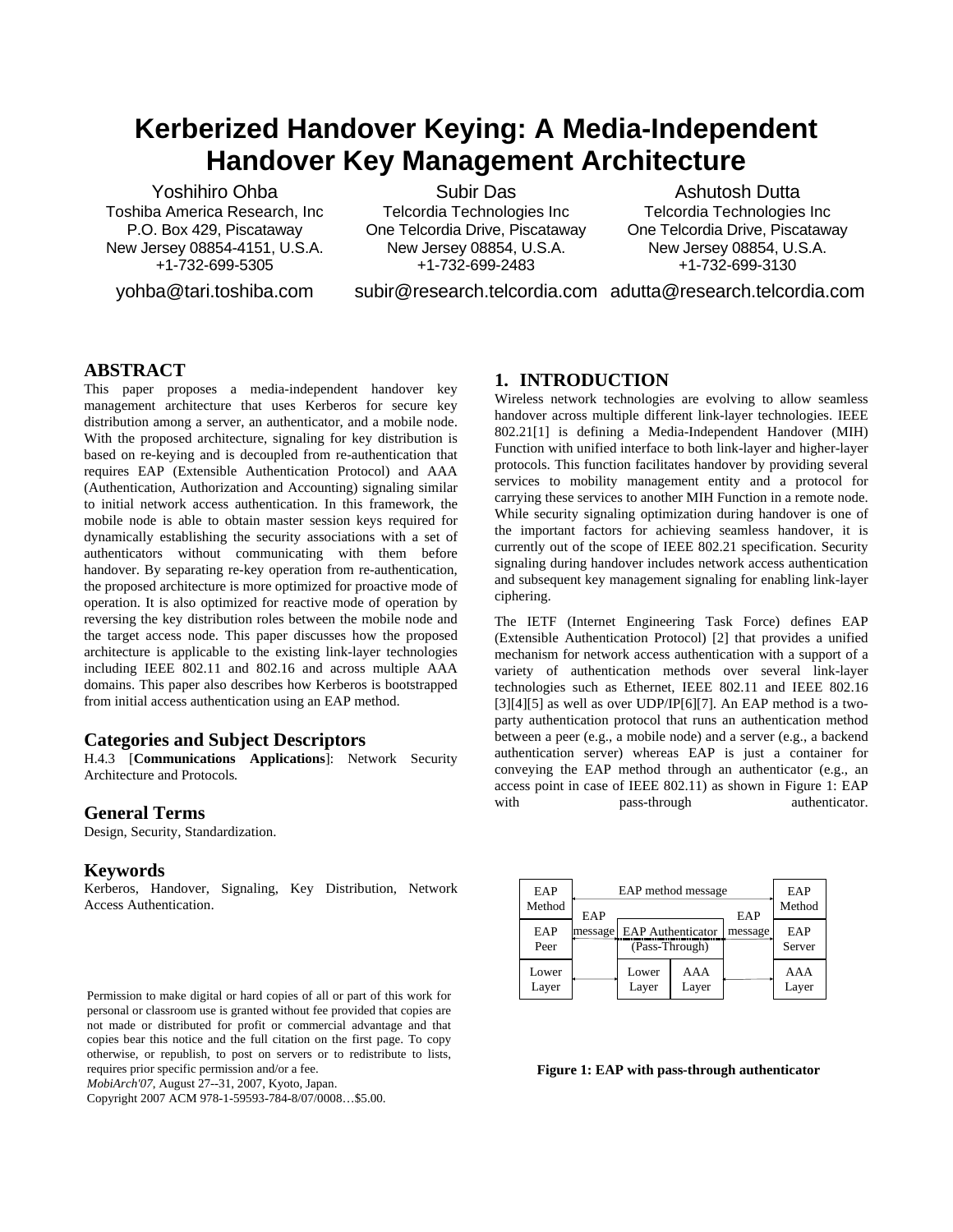# **Kerberized Handover Keying: A Media-Independent Handover Key Management Architecture**

Yoshihiro Ohba Toshiba America Research, Inc P.O. Box 429, Piscataway New Jersey 08854-4151, U.S.A. +1-732-699-5305

yohba@tari.toshiba.com

Subir Das Telcordia Technologies Inc One Telcordia Drive, Piscataway New Jersey 08854, U.S.A. +1-732-699-2483

Ashutosh Dutta Telcordia Technologies Inc One Telcordia Drive, Piscataway New Jersey 08854, U.S.A. +1-732-699-3130

subir@research.telcordia.com adutta@research.telcordia.com

# **ABSTRACT**

This paper proposes a media-independent handover key management architecture that uses Kerberos for secure key distribution among a server, an authenticator, and a mobile node. With the proposed architecture, signaling for key distribution is based on re-keying and is decoupled from re-authentication that requires EAP (Extensible Authentication Protocol) and AAA (Authentication, Authorization and Accounting) signaling similar to initial network access authentication. In this framework, the mobile node is able to obtain master session keys required for dynamically establishing the security associations with a set of authenticators without communicating with them before handover. By separating re-key operation from re-authentication, the proposed architecture is more optimized for proactive mode of operation. It is also optimized for reactive mode of operation by reversing the key distribution roles between the mobile node and the target access node. This paper discusses how the proposed architecture is applicable to the existing link-layer technologies including IEEE 802.11 and 802.16 and across multiple AAA domains. This paper also describes how Kerberos is bootstrapped from initial access authentication using an EAP method.

# **Categories and Subject Descriptors**

H.4.3 [**Communications Applications**]: Network Security Architecture and Protocols*.* 

# **General Terms**

Design, Security, Standardization.

# **Keywords**

Kerberos, Handover, Signaling, Key Distribution, Network Access Authentication.

# **1. INTRODUCTION**

Wireless network technologies are evolving to allow seamless handover across multiple different link-layer technologies. IEEE 802.21[\[1\]](#page-6-0) is defining a Media-Independent Handover (MIH) Function with unified interface to both link-layer and higher-layer protocols. This function facilitates handover by providing several services to mobility management entity and a protocol for carrying these services to another MIH Function in a remote node. While security signaling optimization during handover is one of the important factors for achieving seamless handover, it is currently out of the scope of IEEE 802.21 specification. Security signaling during handover includes network access authentication and subsequent key management signaling for enabling link-layer ciphering.

The IETF (Internet Engineering Task Force) defines EAP (Extensible Authentication Protocol) [\[2\]](#page-6-1) that provides a unified mechanism for network access authentication with a support of a variety of authentication methods over several link-layer technologies such as Ethernet, IEEE 802.11 and IEEE 802.16  $[3][4][5]$  $[3][4][5]$  $[3][4][5]$  as well as over UDP/IP $[6][7]$ . An EAP method is a twoparty authentication protocol that runs an authentication method between a peer (e.g., a mobile node) and a server (e.g., a backend authentication server) whereas EAP is just a container for conveying the EAP method through an authenticator (e.g., an access point in case of IEEE 802.11) as shown in [Figure 1: EAP](#page-6-7)  [with pass-through authenticator.](#page-6-7)

| EAP    | EAP method message | EAP            |                          |         |        |
|--------|--------------------|----------------|--------------------------|---------|--------|
| Method | EAP                |                |                          | EAP     | Method |
| EAP    | message            |                | <b>EAP</b> Authenticator | message | EAP    |
| Peer   |                    | (Pass-Through) |                          |         | Server |
| Lower  |                    | Lower          | AAA                      |         | AAA    |
| Layer  |                    | Layer          | Layer                    |         | Layer  |

Permission to make digital or hard copies of all or part of this work for personal or classroom use is granted without fee provided that copies are not made or distributed for profit or commercial advantage and that copies bear this notice and the full citation on the first page. To copy otherwise, or republish, to post on servers or to redistribute to lists, requires prior specific permission and/or a fee.

*MobiArch'07*, August 27--31, 2007, Kyoto, Japan.

Copyright 2007 ACM 978-1-59593-784-8/07/0008…\$5.00.

**Figure 1: EAP with pass-through authenticator**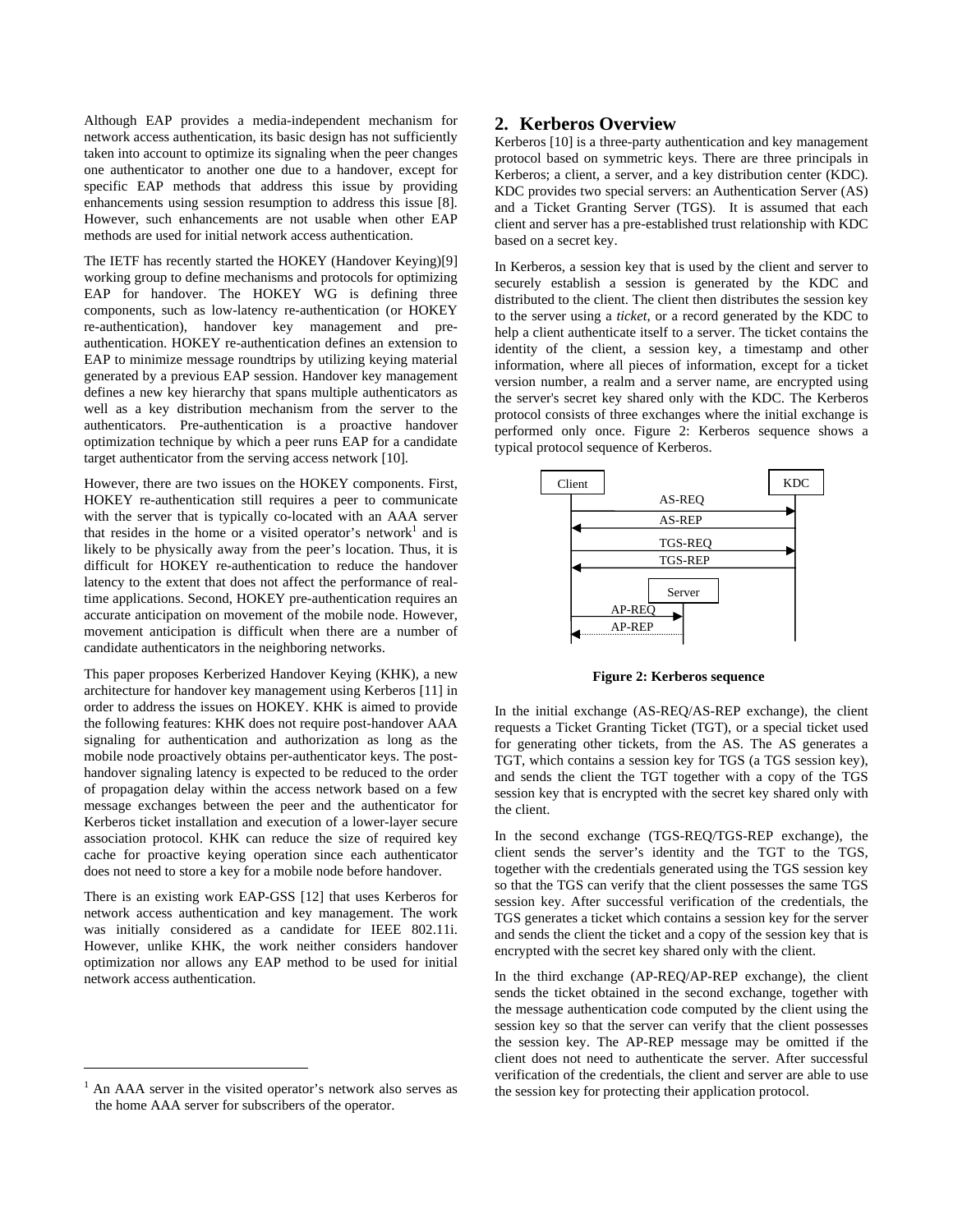Although EAP provides a media-independent mechanism for network access authentication, its basic design has not sufficiently taken into account to optimize its signaling when the peer changes one authenticator to another one due to a handover, except for specific EAP methods that address this issue by providing enhancements using session resumption to address this issue [\[8\].](#page-6-7) However, such enhancements are not usable when other EAP methods are used for initial network access authentication.

The IETF has recently started the HOKEY (Handover Keying[\)\[9\]](#page-6-8) working group to define mechanisms and protocols for optimizing EAP for handover. The HOKEY WG is defining three components, such as low-latency re-authentication (or HOKEY re-authentication), handover key management and preauthentication. HOKEY re-authentication defines an extension to EAP to minimize message roundtrips by utilizing keying material generated by a previous EAP session. Handover key management defines a new key hierarchy that spans multiple authenticators as well as a key distribution mechanism from the server to the authenticators. Pre-authentication is a proactive handover optimization technique by which a peer runs EAP for a candidate target authenticator from the serving access network [\[10\].](#page-6-9)

However, there are two issues on the HOKEY components. First, HOKEY re-authentication still requires a peer to communicate with the server that is typically co-located with an AAA server thatresides in the home or a visited operator's network<sup>1</sup> and is likely to be physically away from the peer's location. Thus, it is difficult for HOKEY re-authentication to reduce the handover latency to the extent that does not affect the performance of realtime applications. Second, HOKEY pre-authentication requires an accurate anticipation on movement of the mobile node. However, movement anticipation is difficult when there are a number of candidate authenticators in the neighboring networks.

This paper proposes Kerberized Handover Keying (KHK), a new architecture for handover key management using Kerberos [\[11\]](#page-6-10) in order to address the issues on HOKEY. KHK is aimed to provide the following features: KHK does not require post-handover AAA signaling for authentication and authorization as long as the mobile node proactively obtains per-authenticator keys. The posthandover signaling latency is expected to be reduced to the order of propagation delay within the access network based on a few message exchanges between the peer and the authenticator for Kerberos ticket installation and execution of a lower-layer secure association protocol. KHK can reduce the size of required key cache for proactive keying operation since each authenticator does not need to store a key for a mobile node before handover.

There is an existing work EAP-GSS [\[12\]](#page-6-11) that uses Kerberos for network access authentication and key management. The work was initially considered as a candidate for IEEE 802.11i. However, unlike KHK, the work neither considers handover optimization nor allows any EAP method to be used for initial network access authentication.

1

## <span id="page-1-1"></span>**2. Kerberos Overview**

Kerberos [\[10\]](#page-6-9) is a three-party authentication and key management protocol based on symmetric keys. There are three principals in Kerberos; a client, a server, and a key distribution center (KDC). KDC provides two special servers: an Authentication Server (AS) and a Ticket Granting Server (TGS). It is assumed that each client and server has a pre-established trust relationship with KDC based on a secret key.

In Kerberos, a session key that is used by the client and server to securely establish a session is generated by the KDC and distributed to the client. The client then distributes the session key to the server using a *ticket*, or a record generated by the KDC to help a client authenticate itself to a server. The ticket contains the identity of the client, a session key, a timestamp and other information, where all pieces of information, except for a ticket version number, a realm and a server name, are encrypted using the server's secret key shared only with the KDC. The Kerberos protocol consists of three exchanges where the initial exchange is performed only once. [Figure 2: Kerberos sequence](#page-6-3) shows a typical protocol sequence of Kerberos.



**Figure 2: Kerberos sequence** 

In the initial exchange (AS-REQ/AS-REP exchange), the client requests a Ticket Granting Ticket (TGT), or a special ticket used for generating other tickets, from the AS. The AS generates a TGT, which contains a session key for TGS (a TGS session key), and sends the client the TGT together with a copy of the TGS session key that is encrypted with the secret key shared only with the client.

In the second exchange (TGS-REQ/TGS-REP exchange), the client sends the server's identity and the TGT to the TGS, together with the credentials generated using the TGS session key so that the TGS can verify that the client possesses the same TGS session key. After successful verification of the credentials, the TGS generates a ticket which contains a session key for the server and sends the client the ticket and a copy of the session key that is encrypted with the secret key shared only with the client.

In the third exchange (AP-REQ/AP-REP exchange), the client sends the ticket obtained in the second exchange, together with the message authentication code computed by the client using the session key so that the server can verify that the client possesses the session key. The AP-REP message may be omitted if the client does not need to authenticate the server. After successful verification of the credentials, the client and server are able to use the session key for protecting their application protocol.

<span id="page-1-0"></span><sup>1</sup> An AAA server in the visited operator's network also serves as the home AAA server for subscribers of the operator.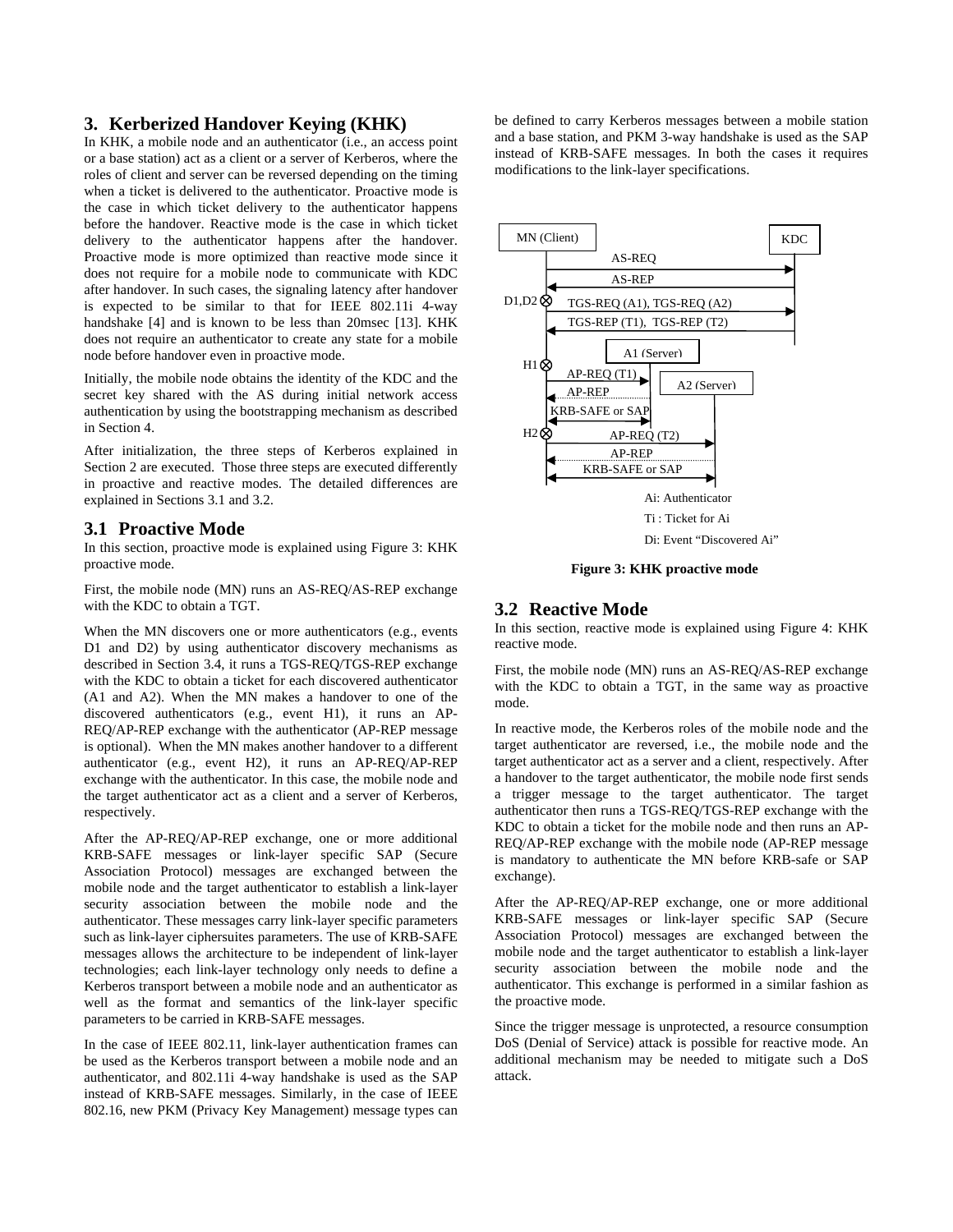## **3. Kerberized Handover Keying (KHK)**

In KHK, a mobile node and an authenticator (i.e., an access point or a base station) act as a client or a server of Kerberos, where the roles of client and server can be reversed depending on the timing when a ticket is delivered to the authenticator. Proactive mode is the case in which ticket delivery to the authenticator happens before the handover. Reactive mode is the case in which ticket delivery to the authenticator happens after the handover. Proactive mode is more optimized than reactive mode since it does not require for a mobile node to communicate with KDC after handover. In such cases, the signaling latency after handover is expected to be similar to that for IEEE 802.11i 4-way handshake [\[4\]](#page-6-3) and is known to be less than 20msec [\[13\].](#page-6-12) KHK does not require an authenticator to create any state for a mobile node before handover even in proactive mode.

Initially, the mobile node obtains the identity of the KDC and the secret key shared with the AS during initial network access authentication by using the bootstrapping mechanism as described in Section [4.](#page-4-0)

After initialization, the three steps of Kerberos explained in Section [2](#page-1-1) are executed. Those three steps are executed differently in proactive and reactive modes. The detailed differences are explained in Sections [3.1](#page-2-0) and [3.2.](#page-2-1)

# <span id="page-2-0"></span>**3.1 Proactive Mode**

In this section, proactive mode is explained using [Figure 3: KHK](#page-3-0)  [proactive mode.](#page-3-0)

First, the mobile node (MN) runs an AS-REQ/AS-REP exchange with the KDC to obtain a TGT.

When the MN discovers one or more authenticators (e.g., events D1 and D2) by using authenticator discovery mechanisms as described in Section [3.4,](#page-3-0) it runs a TGS-REQ/TGS-REP exchange with the KDC to obtain a ticket for each discovered authenticator (A1 and A2). When the MN makes a handover to one of the discovered authenticators (e.g., event H1), it runs an AP-REQ/AP-REP exchange with the authenticator (AP-REP message is optional). When the MN makes another handover to a different authenticator (e.g., event H2), it runs an AP-REQ/AP-REP exchange with the authenticator. In this case, the mobile node and the target authenticator act as a client and a server of Kerberos, respectively.

After the AP-REQ/AP-REP exchange, one or more additional KRB-SAFE messages or link-layer specific SAP (Secure Association Protocol) messages are exchanged between the mobile node and the target authenticator to establish a link-layer security association between the mobile node and the authenticator. These messages carry link-layer specific parameters such as link-layer ciphersuites parameters. The use of KRB-SAFE messages allows the architecture to be independent of link-layer technologies; each link-layer technology only needs to define a Kerberos transport between a mobile node and an authenticator as well as the format and semantics of the link-layer specific parameters to be carried in KRB-SAFE messages.

In the case of IEEE 802.11, link-layer authentication frames can be used as the Kerberos transport between a mobile node and an authenticator, and 802.11i 4-way handshake is used as the SAP instead of KRB-SAFE messages. Similarly, in the case of IEEE 802.16, new PKM (Privacy Key Management) message types can

be defined to carry Kerberos messages between a mobile station and a base station, and PKM 3-way handshake is used as the SAP instead of KRB-SAFE messages. In both the cases it requires modifications to the link-layer specifications.



**Figure 3: KHK proactive mode** 

# <span id="page-2-1"></span>**3.2 Reactive Mode**

In this section, reactive mode is explained using [Figure 4: KHK](#page-4-1)  [reactive mode.](#page-4-1)

First, the mobile node (MN) runs an AS-REQ/AS-REP exchange with the KDC to obtain a TGT, in the same way as proactive mode.

In reactive mode, the Kerberos roles of the mobile node and the target authenticator are reversed, i.e., the mobile node and the target authenticator act as a server and a client, respectively. After a handover to the target authenticator, the mobile node first sends a trigger message to the target authenticator. The target authenticator then runs a TGS-REQ/TGS-REP exchange with the KDC to obtain a ticket for the mobile node and then runs an AP-REQ/AP-REP exchange with the mobile node (AP-REP message is mandatory to authenticate the MN before KRB-safe or SAP exchange).

After the AP-REQ/AP-REP exchange, one or more additional KRB-SAFE messages or link-layer specific SAP (Secure Association Protocol) messages are exchanged between the mobile node and the target authenticator to establish a link-layer security association between the mobile node and the authenticator. This exchange is performed in a similar fashion as the proactive mode.

Since the trigger message is unprotected, a resource consumption DoS (Denial of Service) attack is possible for reactive mode. An additional mechanism may be needed to mitigate such a DoS attack.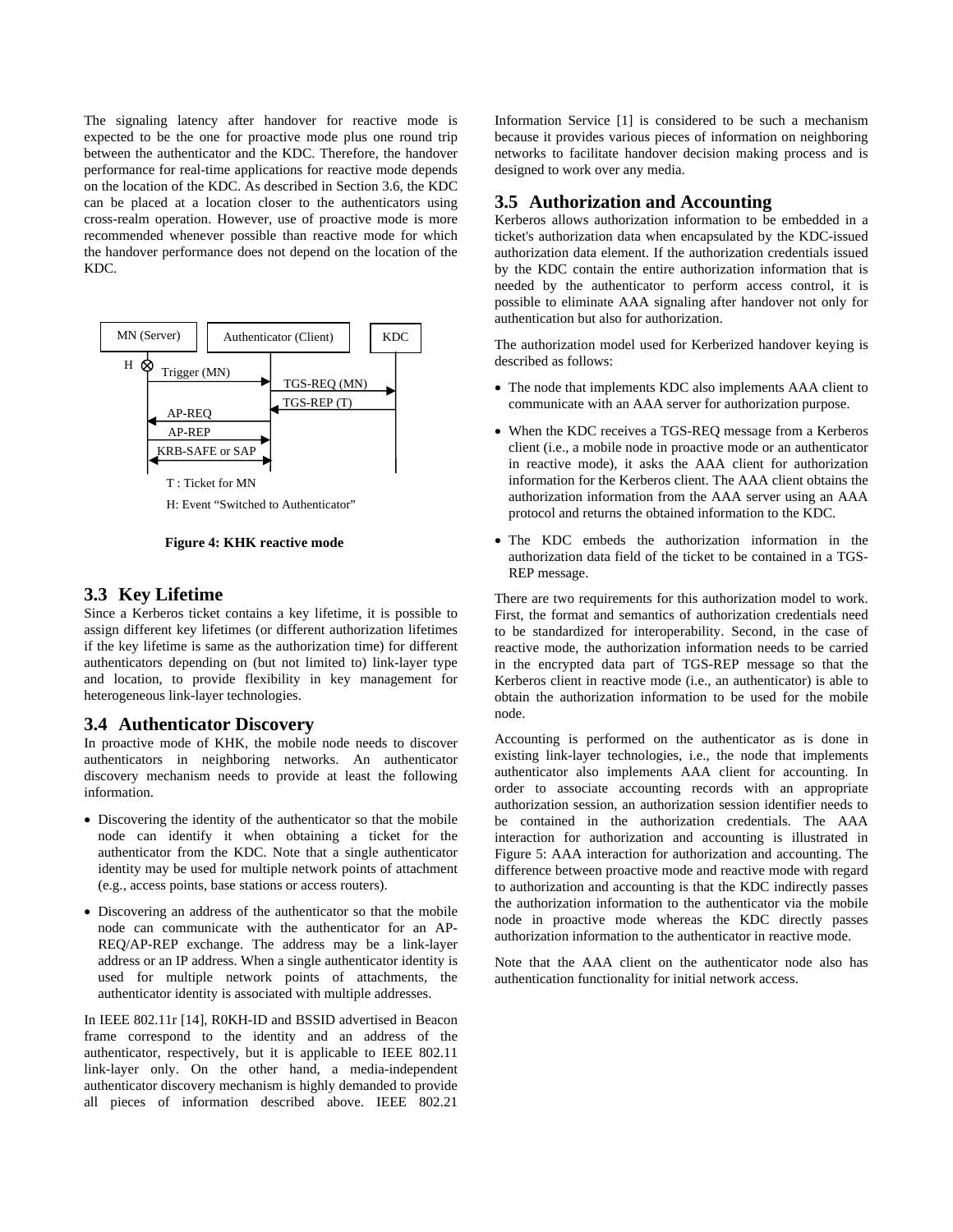The signaling latency after handover for reactive mode is expected to be the one for proactive mode plus one round trip between the authenticator and the KDC. Therefore, the handover performance for real-time applications for reactive mode depends on the location of the KDC. As described in Section [3.6,](#page-4-1) the KDC can be placed at a location closer to the authenticators using cross-realm operation. However, use of proactive mode is more recommended whenever possible than reactive mode for which the handover performance does not depend on the location of the KDC.



**Figure 4: KHK reactive mode** 

## **3.3 Key Lifetime**

Since a Kerberos ticket contains a key lifetime, it is possible to assign different key lifetimes (or different authorization lifetimes if the key lifetime is same as the authorization time) for different authenticators depending on (but not limited to) link-layer type and location, to provide flexibility in key management for heterogeneous link-layer technologies.

#### <span id="page-3-0"></span>**3.4 Authenticator Discovery**

In proactive mode of KHK, the mobile node needs to discover authenticators in neighboring networks. An authenticator discovery mechanism needs to provide at least the following information.

- Discovering the identity of the authenticator so that the mobile node can identify it when obtaining a ticket for the authenticator from the KDC. Note that a single authenticator identity may be used for multiple network points of attachment (e.g., access points, base stations or access routers).
- Discovering an address of the authenticator so that the mobile node can communicate with the authenticator for an AP-REQ/AP-REP exchange. The address may be a link-layer address or an IP address. When a single authenticator identity is used for multiple network points of attachments, the authenticator identity is associated with multiple addresses.

In IEEE 802.11r [\[14\],](#page-6-13) R0KH-ID and BSSID advertised in Beacon frame correspond to the identity and an address of the authenticator, respectively, but it is applicable to IEEE 802.11 link-layer only. On the other hand, a media-independent authenticator discovery mechanism is highly demanded to provide all pieces of information described above. IEEE 802.21

Information Service [1] is considered to be such a mechanism because it provides various pieces of information on neighboring networks to facilitate handover decision making process and is designed to work over any media.

# **3.5 Authorization and Accounting**

Kerberos allows authorization information to be embedded in a ticket's authorization data when encapsulated by the KDC-issued authorization data element. If the authorization credentials issued by the KDC contain the entire authorization information that is needed by the authenticator to perform access control, it is possible to eliminate AAA signaling after handover not only for authentication but also for authorization.

The authorization model used for Kerberized handover keying is described as follows:

- The node that implements KDC also implements AAA client to communicate with an AAA server for authorization purpose.
- When the KDC receives a TGS-REQ message from a Kerberos client (i.e., a mobile node in proactive mode or an authenticator in reactive mode), it asks the AAA client for authorization information for the Kerberos client. The AAA client obtains the authorization information from the AAA server using an AAA protocol and returns the obtained information to the KDC.
- The KDC embeds the authorization information in the authorization data field of the ticket to be contained in a TGS-REP message.

There are two requirements for this authorization model to work. First, the format and semantics of authorization credentials need to be standardized for interoperability. Second, in the case of reactive mode, the authorization information needs to be carried in the encrypted data part of TGS-REP message so that the Kerberos client in reactive mode (i.e., an authenticator) is able to obtain the authorization information to be used for the mobile node.

Accounting is performed on the authenticator as is done in existing link-layer technologies, i.e., the node that implements authenticator also implements AAA client for accounting. In order to associate accounting records with an appropriate authorization session, an authorization session identifier needs to be contained in the authorization credentials. The AAA interaction for authorization and accounting is illustrated in [Figure 5: AAA interaction for authorization and accounting.](#page-6-14) The difference between proactive mode and reactive mode with regard to authorization and accounting is that the KDC indirectly passes the authorization information to the authenticator via the mobile node in proactive mode whereas the KDC directly passes authorization information to the authenticator in reactive mode.

Note that the AAA client on the authenticator node also has authentication functionality for initial network access.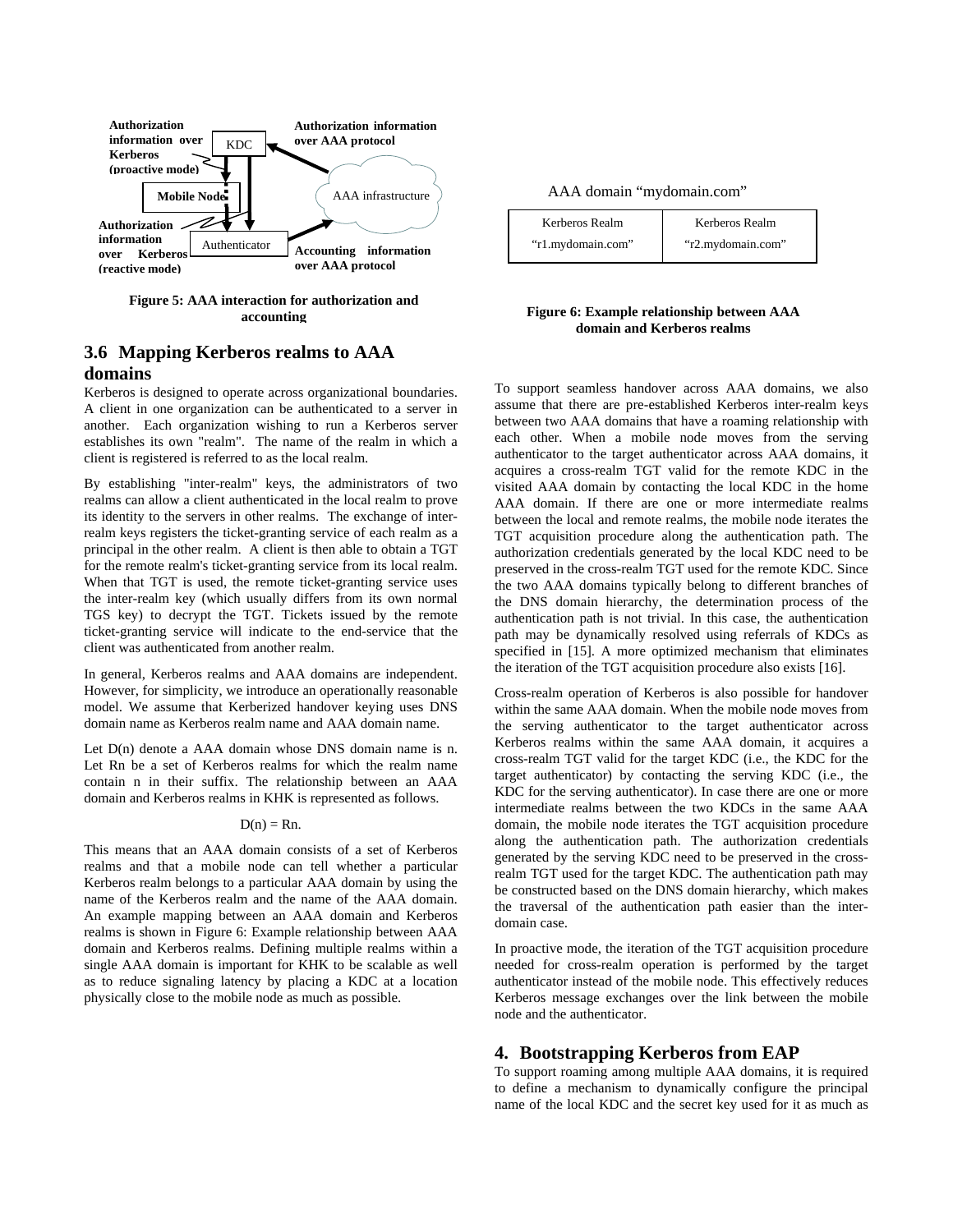

**Figure 5: AAA interaction for authorization and accounting**

# <span id="page-4-1"></span>**3.6 Mapping Kerberos realms to AAA domains**

Kerberos is designed to operate across organizational boundaries. A client in one organization can be authenticated to a server in another. Each organization wishing to run a Kerberos server establishes its own "realm". The name of the realm in which a client is registered is referred to as the local realm.

By establishing "inter-realm" keys, the administrators of two realms can allow a client authenticated in the local realm to prove its identity to the servers in other realms. The exchange of interrealm keys registers the ticket-granting service of each realm as a principal in the other realm. A client is then able to obtain a TGT for the remote realm's ticket-granting service from its local realm. When that TGT is used, the remote ticket-granting service uses the inter-realm key (which usually differs from its own normal TGS key) to decrypt the TGT. Tickets issued by the remote ticket-granting service will indicate to the end-service that the client was authenticated from another realm.

In general, Kerberos realms and AAA domains are independent. However, for simplicity, we introduce an operationally reasonable model. We assume that Kerberized handover keying uses DNS domain name as Kerberos realm name and AAA domain name.

Let  $D(n)$  denote a AAA domain whose DNS domain name is n. Let Rn be a set of Kerberos realms for which the realm name contain n in their suffix. The relationship between an AAA domain and Kerberos realms in KHK is represented as follows.

#### $D(n) = Rn$ .

This means that an AAA domain consists of a set of Kerberos realms and that a mobile node can tell whether a particular Kerberos realm belongs to a particular AAA domain by using the name of the Kerberos realm and the name of the AAA domain. An example mapping between an AAA domain and Kerberos realms is shown in [Figure 6: Example relationship between AAA](#page-6-14)  [domain and Kerberos realms.](#page-6-14) Defining multiple realms within a single AAA domain is important for KHK to be scalable as well as to reduce signaling latency by placing a KDC at a location physically close to the mobile node as much as possible.

AAA domain "mydomain.com"

Kerberos Realm "r1.mydomain.com" Kerberos Realm "r2.mydomain.com"

### **Figure 6: Example relationship between AAA domain and Kerberos realms**

To support seamless handover across AAA domains, we also assume that there are pre-established Kerberos inter-realm keys between two AAA domains that have a roaming relationship with each other. When a mobile node moves from the serving authenticator to the target authenticator across AAA domains, it acquires a cross-realm TGT valid for the remote KDC in the visited AAA domain by contacting the local KDC in the home AAA domain. If there are one or more intermediate realms between the local and remote realms, the mobile node iterates the TGT acquisition procedure along the authentication path. The authorization credentials generated by the local KDC need to be preserved in the cross-realm TGT used for the remote KDC. Since the two AAA domains typically belong to different branches of the DNS domain hierarchy, the determination process of the authentication path is not trivial. In this case, the authentication path may be dynamically resolved using referrals of KDCs as specified in [\[15\].](#page-6-14) A more optimized mechanism that eliminates the iteration of the TGT acquisition procedure also exists [\[16\].](#page-6-15) 

Cross-realm operation of Kerberos is also possible for handover within the same AAA domain. When the mobile node moves from the serving authenticator to the target authenticator across Kerberos realms within the same AAA domain, it acquires a cross-realm TGT valid for the target KDC (i.e., the KDC for the target authenticator) by contacting the serving KDC (i.e., the KDC for the serving authenticator). In case there are one or more intermediate realms between the two KDCs in the same AAA domain, the mobile node iterates the TGT acquisition procedure along the authentication path. The authorization credentials generated by the serving KDC need to be preserved in the crossrealm TGT used for the target KDC. The authentication path may be constructed based on the DNS domain hierarchy, which makes the traversal of the authentication path easier than the interdomain case.

In proactive mode, the iteration of the TGT acquisition procedure needed for cross-realm operation is performed by the target authenticator instead of the mobile node. This effectively reduces Kerberos message exchanges over the link between the mobile node and the authenticator.

## <span id="page-4-0"></span>**4. Bootstrapping Kerberos from EAP**

To support roaming among multiple AAA domains, it is required to define a mechanism to dynamically configure the principal name of the local KDC and the secret key used for it as much as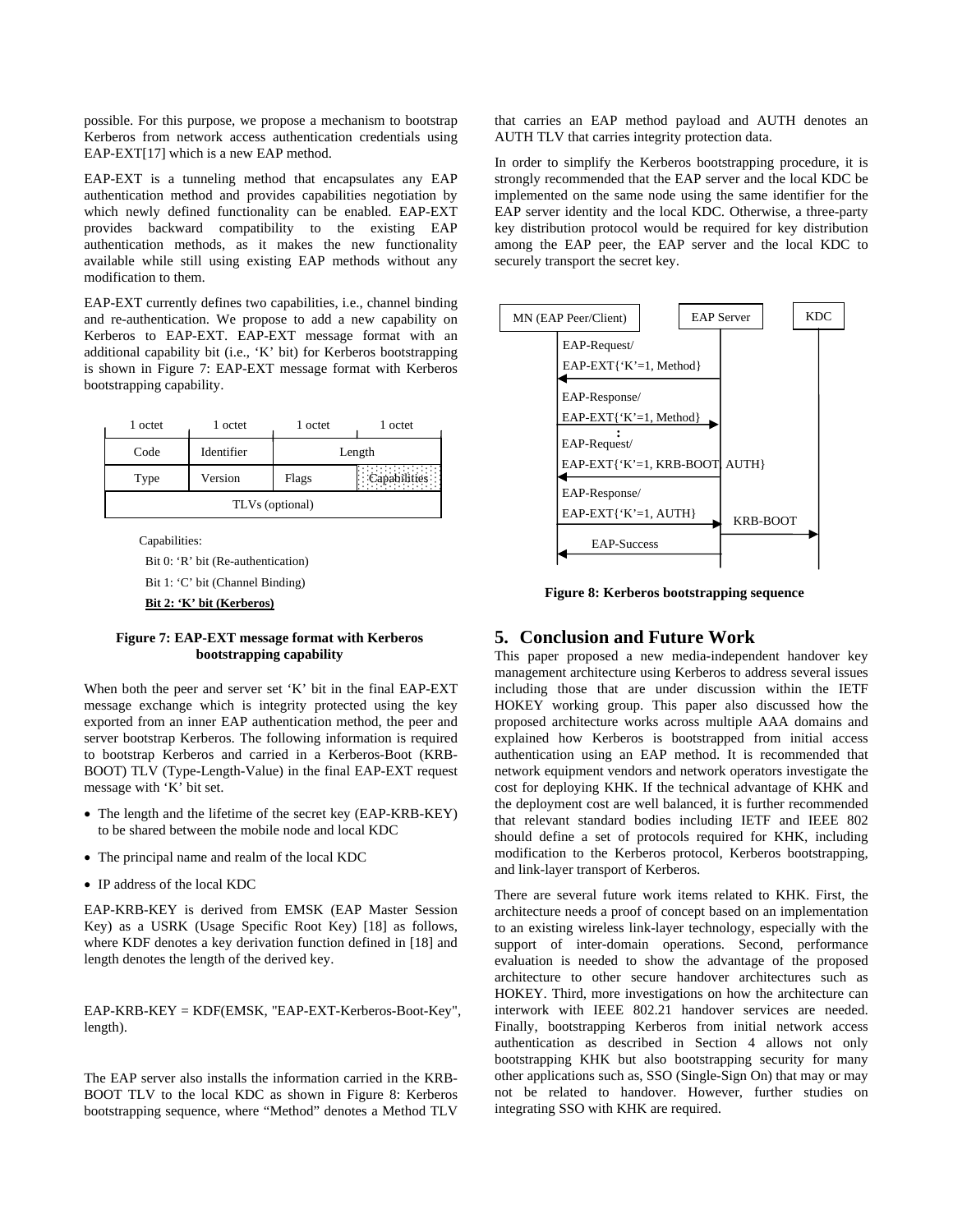possible. For this purpose, we propose a mechanism to bootstrap Kerberos from network access authentication credentials using EAP-EXT[\[17\] w](#page-6-16)hich is a new EAP method.

EAP-EXT is a tunneling method that encapsulates any EAP authentication method and provides capabilities negotiation by which newly defined functionality can be enabled. EAP-EXT provides backward compatibility to the existing EAP authentication methods, as it makes the new functionality available while still using existing EAP methods without any modification to them.

EAP-EXT currently defines two capabilities, i.e., channel binding and re-authentication. We propose to add a new capability on Kerberos to EAP-EXT. EAP-EXT message format with an additional capability bit (i.e., 'K' bit) for Kerberos bootstrapping is shown in [Figure 7: EAP-EXT message format with Kerberos](#page-6-17)  [bootstrapping capability.](#page-6-17) 

| 1 octet         | 1 octet    | 1 octet | 1 octet     |  |  |  |
|-----------------|------------|---------|-------------|--|--|--|
| Code            | Identifier | Length  |             |  |  |  |
| Type            | Version    | Flags   | Canabilitie |  |  |  |
| TLVs (optional) |            |         |             |  |  |  |

Capabilities:

Bit 0: 'R' bit (Re-authentication)

Bit 1: 'C' bit (Channel Binding)

#### **Bit 2: 'K' bit (Kerberos)**

## **Figure 7: EAP-EXT message format with Kerberos bootstrapping capability**

When both the peer and server set 'K' bit in the final EAP-EXT message exchange which is integrity protected using the key exported from an inner EAP authentication method, the peer and server bootstrap Kerberos. The following information is required to bootstrap Kerberos and carried in a Kerberos-Boot (KRB-BOOT) TLV (Type-Length-Value) in the final EAP-EXT request message with 'K' bit set.

- The length and the lifetime of the secret key (EAP-KRB-KEY) to be shared between the mobile node and local KDC
- The principal name and realm of the local KDC
- IP address of the local KDC

EAP-KRB-KEY is derived from EMSK (EAP Master Session Key) as a USRK (Usage Specific Root Key) [\[18\]](#page-6-17) as follows, where KDF denotes a key derivation function defined in [\[18\]](#page-6-17) and length denotes the length of the derived key.

EAP-KRB-KEY = KDF(EMSK, "EAP-EXT-Kerberos-Boot-Key", length).

The EAP server also installs the information carried in the KRB-BOOT TLV to the local KDC as shown in [Figure 8: Kerberos](#page-1-0)  [bootstrapping sequence,](#page-1-0) where "Method" denotes a Method TLV

that carries an EAP method payload and AUTH denotes an AUTH TLV that carries integrity protection data.

In order to simplify the Kerberos bootstrapping procedure, it is strongly recommended that the EAP server and the local KDC be implemented on the same node using the same identifier for the EAP server identity and the local KDC. Otherwise, a three-party key distribution protocol would be required for key distribution among the EAP peer, the EAP server and the local KDC to securely transport the secret key.



**Figure 8: Kerberos bootstrapping sequence** 

## **5. Conclusion and Future Work**

This paper proposed a new media-independent handover key management architecture using Kerberos to address several issues including those that are under discussion within the IETF HOKEY working group. This paper also discussed how the proposed architecture works across multiple AAA domains and explained how Kerberos is bootstrapped from initial access authentication using an EAP method. It is recommended that network equipment vendors and network operators investigate the cost for deploying KHK. If the technical advantage of KHK and the deployment cost are well balanced, it is further recommended that relevant standard bodies including IETF and IEEE 802 should define a set of protocols required for KHK, including modification to the Kerberos protocol, Kerberos bootstrapping, and link-layer transport of Kerberos.

There are several future work items related to KHK. First, the integrating SSO with KHK are required. architecture needs a proof of concept based on an implementation to an existing wireless link-layer technology, especially with the support of inter-domain operations. Second, performance evaluation is needed to show the advantage of the proposed architecture to other secure handover architectures such as HOKEY. Third, more investigations on how the architecture can interwork with IEEE 802.21 handover services are needed. Finally, bootstrapping Kerberos from initial network access authentication as described in Section 4 allows not only bootstrapping KHK but also bootstrapping security for many other applications such as, SSO (Single-Sign On) that may or may not be related to handover. However, further studies on